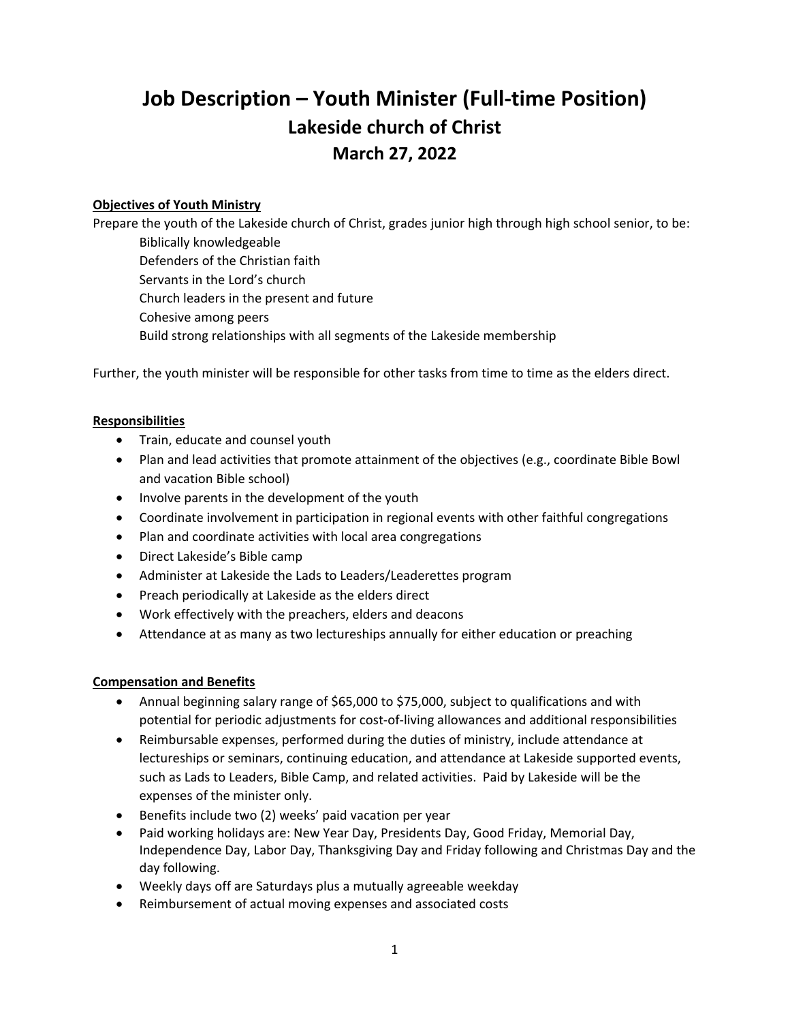# **Job Description – Youth Minister (Full-time Position) Lakeside church of Christ March 27, 2022**

## **Objectives of Youth Ministry**

Prepare the youth of the Lakeside church of Christ, grades junior high through high school senior, to be: Biblically knowledgeable

Defenders of the Christian faith Servants in the Lord's church Church leaders in the present and future

Cohesive among peers

Build strong relationships with all segments of the Lakeside membership

Further, the youth minister will be responsible for other tasks from time to time as the elders direct.

#### **Responsibilities**

- Train, educate and counsel youth
- Plan and lead activities that promote attainment of the objectives (e.g., coordinate Bible Bowl and vacation Bible school)
- Involve parents in the development of the youth
- Coordinate involvement in participation in regional events with other faithful congregations
- Plan and coordinate activities with local area congregations
- Direct Lakeside's Bible camp
- Administer at Lakeside the Lads to Leaders/Leaderettes program
- Preach periodically at Lakeside as the elders direct
- Work effectively with the preachers, elders and deacons
- Attendance at as many as two lectureships annually for either education or preaching

### **Compensation and Benefits**

- Annual beginning salary range of \$65,000 to \$75,000, subject to qualifications and with potential for periodic adjustments for cost-of-living allowances and additional responsibilities
- Reimbursable expenses, performed during the duties of ministry, include attendance at lectureships or seminars, continuing education, and attendance at Lakeside supported events, such as Lads to Leaders, Bible Camp, and related activities. Paid by Lakeside will be the expenses of the minister only.
- Benefits include two (2) weeks' paid vacation per year
- Paid working holidays are: New Year Day, Presidents Day, Good Friday, Memorial Day, Independence Day, Labor Day, Thanksgiving Day and Friday following and Christmas Day and the day following.
- Weekly days off are Saturdays plus a mutually agreeable weekday
- Reimbursement of actual moving expenses and associated costs